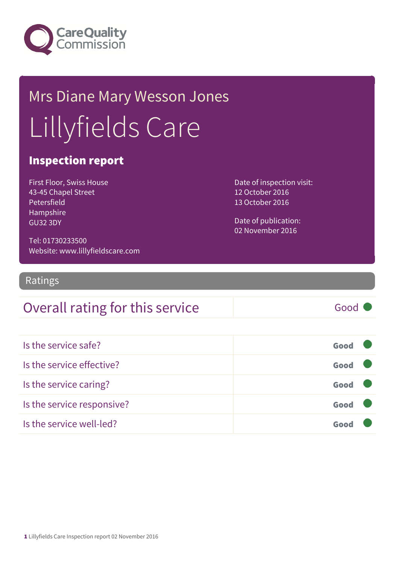

# Mrs Diane Mary Wesson Jones Lillyfields Care

#### Inspection report

First Floor, Swiss House 43-45 Chapel Street Petersfield Hampshire GU32 3DY

Date of inspection visit: 12 October 2016 13 October 2016

Date of publication: 02 November 2016

Tel: 01730233500 Website: www.lillyfieldscare.com

Ratings

#### Overall rating for this service Fig. 6000

| Is the service safe?       | Good |  |
|----------------------------|------|--|
| Is the service effective?  | Good |  |
| Is the service caring?     | Good |  |
| Is the service responsive? | Good |  |
| Is the service well-led?   | Goo  |  |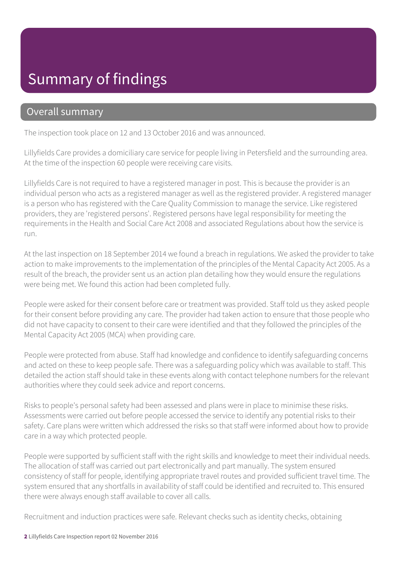### Summary of findings

#### Overall summary

The inspection took place on 12 and 13 October 2016 and was announced.

Lillyfields Care provides a domiciliary care service for people living in Petersfield and the surrounding area. At the time of the inspection 60 people were receiving care visits.

Lillyfields Care is not required to have a registered manager in post. This is because the provider is an individual person who acts as a registered manager as well as the registered provider. A registered manager is a person who has registered with the Care Quality Commission to manage the service. Like registered providers, they are 'registered persons'. Registered persons have legal responsibility for meeting the requirements in the Health and Social Care Act 2008 and associated Regulations about how the service is run.

At the last inspection on 18 September 2014 we found a breach in regulations. We asked the provider to take action to make improvements to the implementation of the principles of the Mental Capacity Act 2005. As a result of the breach, the provider sent us an action plan detailing how they would ensure the regulations were being met. We found this action had been completed fully.

People were asked for their consent before care or treatment was provided. Staff told us they asked people for their consent before providing any care. The provider had taken action to ensure that those people who did not have capacity to consent to their care were identified and that they followed the principles of the Mental Capacity Act 2005 (MCA) when providing care.

People were protected from abuse. Staff had knowledge and confidence to identify safeguarding concerns and acted on these to keep people safe. There was a safeguarding policy which was available to staff. This detailed the action staff should take in these events along with contact telephone numbers for the relevant authorities where they could seek advice and report concerns.

Risks to people's personal safety had been assessed and plans were in place to minimise these risks. Assessments were carried out before people accessed the service to identify any potential risks to their safety. Care plans were written which addressed the risks so that staff were informed about how to provide care in a way which protected people.

People were supported by sufficient staff with the right skills and knowledge to meet their individual needs. The allocation of staff was carried out part electronically and part manually. The system ensured consistency of staff for people, identifying appropriate travel routes and provided sufficient travel time. The system ensured that any shortfalls in availability of staff could be identified and recruited to. This ensured there were always enough staff available to cover all calls.

Recruitment and induction practices were safe. Relevant checks such as identity checks, obtaining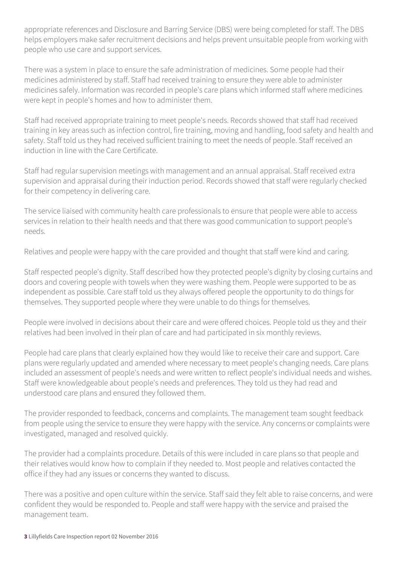appropriate references and Disclosure and Barring Service (DBS) were being completed for staff. The DBS helps employers make safer recruitment decisions and helps prevent unsuitable people from working with people who use care and support services.

There was a system in place to ensure the safe administration of medicines. Some people had their medicines administered by staff. Staff had received training to ensure they were able to administer medicines safely. Information was recorded in people's care plans which informed staff where medicines were kept in people's homes and how to administer them.

Staff had received appropriate training to meet people's needs. Records showed that staff had received training in key areas such as infection control, fire training, moving and handling, food safety and health and safety. Staff told us they had received sufficient training to meet the needs of people. Staff received an induction in line with the Care Certificate.

Staff had regular supervision meetings with management and an annual appraisal. Staff received extra supervision and appraisal during their induction period. Records showed that staff were regularly checked for their competency in delivering care.

The service liaised with community health care professionals to ensure that people were able to access services in relation to their health needs and that there was good communication to support people's needs.

Relatives and people were happy with the care provided and thought that staff were kind and caring.

Staff respected people's dignity. Staff described how they protected people's dignity by closing curtains and doors and covering people with towels when they were washing them. People were supported to be as independent as possible. Care staff told us they always offered people the opportunity to do things for themselves. They supported people where they were unable to do things for themselves.

People were involved in decisions about their care and were offered choices. People told us they and their relatives had been involved in their plan of care and had participated in six monthly reviews.

People had care plans that clearly explained how they would like to receive their care and support. Care plans were regularly updated and amended where necessary to meet people's changing needs. Care plans included an assessment of people's needs and were written to reflect people's individual needs and wishes. Staff were knowledgeable about people's needs and preferences. They told us they had read and understood care plans and ensured they followed them.

The provider responded to feedback, concerns and complaints. The management team sought feedback from people using the service to ensure they were happy with the service. Any concerns or complaints were investigated, managed and resolved quickly.

The provider had a complaints procedure. Details of this were included in care plans so that people and their relatives would know how to complain if they needed to. Most people and relatives contacted the office if they had any issues or concerns they wanted to discuss.

There was a positive and open culture within the service. Staff said they felt able to raise concerns, and were confident they would be responded to. People and staff were happy with the service and praised the management team.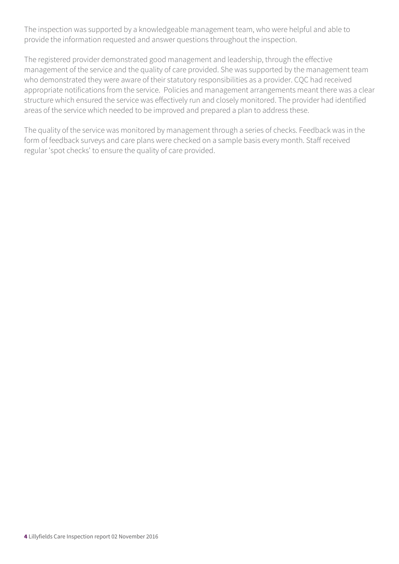The inspection was supported by a knowledgeable management team, who were helpful and able to provide the information requested and answer questions throughout the inspection.

The registered provider demonstrated good management and leadership, through the effective management of the service and the quality of care provided. She was supported by the management team who demonstrated they were aware of their statutory responsibilities as a provider. CQC had received appropriate notifications from the service. Policies and management arrangements meant there was a clear structure which ensured the service was effectively run and closely monitored. The provider had identified areas of the service which needed to be improved and prepared a plan to address these.

The quality of the service was monitored by management through a series of checks. Feedback was in the form of feedback surveys and care plans were checked on a sample basis every month. Staff received regular 'spot checks' to ensure the quality of care provided.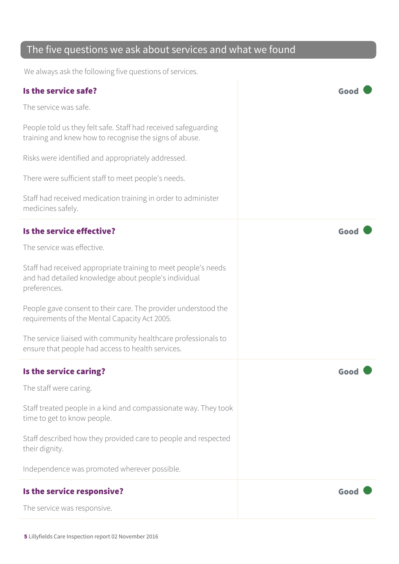#### The five questions we ask about services and what we found

We always ask the following five questions of services.

| Is the service safe?                                                                                                                   | God  |
|----------------------------------------------------------------------------------------------------------------------------------------|------|
| The service was safe.                                                                                                                  |      |
| People told us they felt safe. Staff had received safeguarding<br>training and knew how to recognise the signs of abuse.               |      |
| Risks were identified and appropriately addressed.                                                                                     |      |
| There were sufficient staff to meet people's needs.                                                                                    |      |
| Staff had received medication training in order to administer<br>medicines safely.                                                     |      |
| Is the service effective?                                                                                                              | Goo  |
| The service was effective.                                                                                                             |      |
| Staff had received appropriate training to meet people's needs<br>and had detailed knowledge about people's individual<br>preferences. |      |
| People gave consent to their care. The provider understood the<br>requirements of the Mental Capacity Act 2005.                        |      |
| The service liaised with community healthcare professionals to<br>ensure that people had access to health services.                    |      |
| Is the service caring?                                                                                                                 | Goo  |
| The staff were caring.                                                                                                                 |      |
| Staff treated people in a kind and compassionate way. They took<br>time to get to know people.                                         |      |
| Staff described how they provided care to people and respected<br>their dignity.                                                       |      |
| Independence was promoted wherever possible.                                                                                           |      |
| Is the service responsive?                                                                                                             | Good |
| The service was responsive.                                                                                                            |      |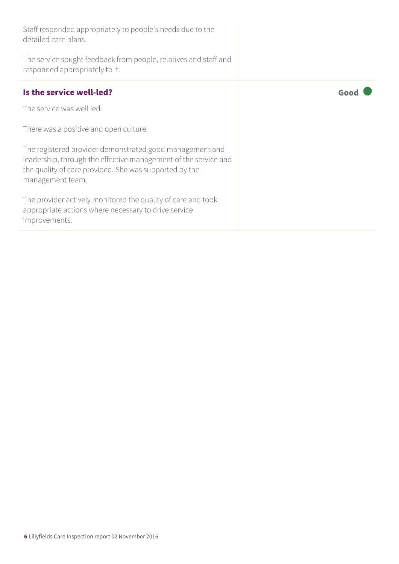Staff responded appropriately to people's needs due to the detailed care plans. The service sought feedback from people, relatives and staff and responded appropriately to it. Is the service well-led?  $\qquad \qquad$   $\qquad \qquad$   $\qquad \qquad$   $\qquad \qquad$   $\qquad \qquad$   $\qquad \qquad$   $\qquad \qquad$   $\qquad \qquad$   $\qquad \qquad$   $\qquad \qquad$   $\qquad$   $\qquad \qquad$   $\qquad$   $\qquad \qquad$   $\qquad$   $\qquad$   $\qquad$   $\qquad$   $\qquad$   $\qquad$   $\qquad$   $\qquad$   $\qquad$   $\qquad$   $\qquad$   $\qquad$   $\qquad$ The service was well led. There was a positive and open culture.

The registered provider demonstrated good management and leadership, through the effective management of the service and the quality of care provided. She was supported by the management team.

The provider actively monitored the quality of care and took appropriate actions where necessary to drive service improvements.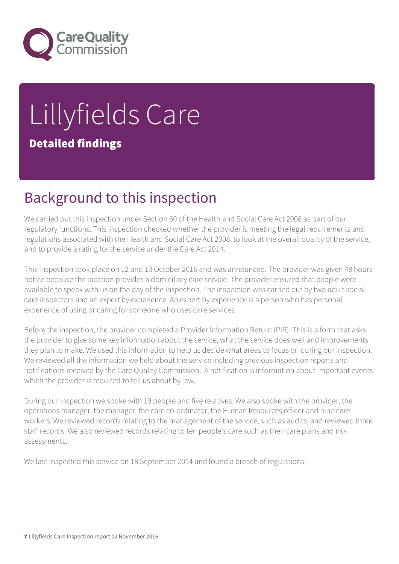

# Lillyfields Care Detailed findings

### Background to this inspection

We carried out this inspection under Section 60 of the Health and Social Care Act 2008 as part of our regulatory functions. This inspection checked whether the provider is meeting the legal requirements and regulations associated with the Health and Social Care Act 2008, to look at the overall quality of the service, and to provide a rating for the service under the Care Act 2014.

This inspection took place on 12 and 13 October 2016 and was announced. The provider was given 48 hours notice because the location provides a domiciliary care service. The provider ensured that people were available to speak with us on the day of the inspection. The inspection was carried out by two adult social care inspectors and an expert by experience. An expert by experience is a person who has personal experience of using or caring for someone who uses care services.

Before the inspection, the provider completed a Provider Information Return (PIR). This is a form that asks the provider to give some key information about the service, what the service does well and improvements they plan to make. We used this information to help us decide what areas to focus on during our inspection. We reviewed all the information we held about the service including previous inspection reports and notifications received by the Care Quality Commission. A notification is information about important events which the provider is required to tell us about by law.

During our inspection we spoke with 19 people and five relatives. We also spoke with the provider, the operations manager, the manager, the care co-ordinator, the Human Resources officer and nine care workers. We reviewed records relating to the management of the service, such as audits, and reviewed three staff records. We also reviewed records relating to ten people's care such as their care plans and risk assessments.

We last inspected this service on 18 September 2014 and found a breach of regulations.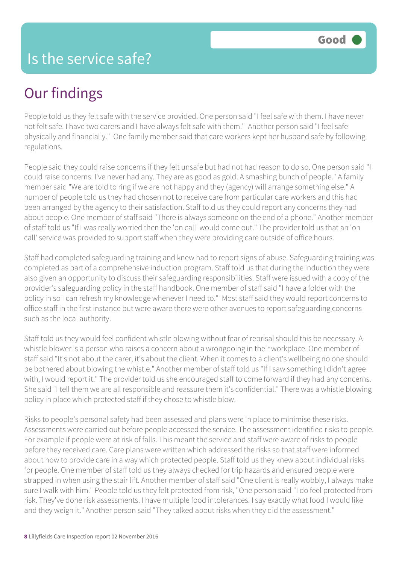# Our findings

People told us they felt safe with the service provided. One person said "I feel safe with them. I have never not felt safe. I have two carers and I have always felt safe with them." Another person said "I feel safe physically and financially." One family member said that care workers kept her husband safe by following regulations.

People said they could raise concerns if they felt unsafe but had not had reason to do so. One person said "I could raise concerns. I've never had any. They are as good as gold. A smashing bunch of people." A family member said "We are told to ring if we are not happy and they (agency) will arrange something else." A number of people told us they had chosen not to receive care from particular care workers and this had been arranged by the agency to their satisfaction. Staff told us they could report any concerns they had about people. One member of staff said "There is always someone on the end of a phone." Another member of staff told us "If I was really worried then the 'on call' would come out." The provider told us that an 'on call' service was provided to support staff when they were providing care outside of office hours.

Staff had completed safeguarding training and knew had to report signs of abuse. Safeguarding training was completed as part of a comprehensive induction program. Staff told us that during the induction they were also given an opportunity to discuss their safeguarding responsibilities. Staff were issued with a copy of the provider's safeguarding policy in the staff handbook. One member of staff said "I have a folder with the policy in so I can refresh my knowledge whenever I need to." Most staff said they would report concerns to office staff in the first instance but were aware there were other avenues to report safeguarding concerns such as the local authority.

Staff told us they would feel confident whistle blowing without fear of reprisal should this be necessary. A whistle blower is a person who raises a concern about a wrongdoing in their workplace. One member of staff said "It's not about the carer, it's about the client. When it comes to a client's wellbeing no one should be bothered about blowing the whistle." Another member of staff told us "If I saw something I didn't agree with, I would report it." The provider told us she encouraged staff to come forward if they had any concerns. She said "I tell them we are all responsible and reassure them it's confidential." There was a whistle blowing policy in place which protected staff if they chose to whistle blow.

Risks to people's personal safety had been assessed and plans were in place to minimise these risks. Assessments were carried out before people accessed the service. The assessment identified risks to people. For example if people were at risk of falls. This meant the service and staff were aware of risks to people before they received care. Care plans were written which addressed the risks so that staff were informed about how to provide care in a way which protected people. Staff told us they knew about individual risks for people. One member of staff told us they always checked for trip hazards and ensured people were strapped in when using the stair lift. Another member of staff said "One client is really wobbly, I always make sure I walk with him." People told us they felt protected from risk, "One person said "I do feel protected from risk. They've done risk assessments. I have multiple food intolerances. I say exactly what food I would like and they weigh it." Another person said "They talked about risks when they did the assessment."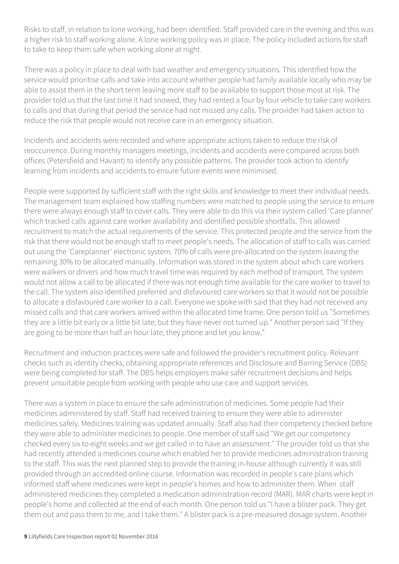Risks to staff, in relation to lone working, had been identified. Staff provided care in the evening and this was a higher risk to staff working alone. A lone working policy was in place. The policy included actions for staff to take to keep them safe when working alone at night.

There was a policy in place to deal with bad weather and emergency situations. This identified how the service would prioritise calls and take into account whether people had family available locally who may be able to assist them in the short term leaving more staff to be available to support those most at risk. The provider told us that the last time it had snowed, they had rented a four by four vehicle to take care workers to calls and that during that period the service had not missed any calls. The provider had taken action to reduce the risk that people would not receive care in an emergency situation.

Incidents and accidents were recorded and where appropriate actions taken to reduce the risk of reoccurrence. During monthly managers meetings, incidents and accidents were compared across both offices (Petersfield and Havant) to identify any possible patterns. The provider took action to identify learning from incidents and accidents to ensure future events were minimised.

People were supported by sufficient staff with the right skills and knowledge to meet their individual needs. The management team explained how staffing numbers were matched to people using the service to ensure there were always enough staff to cover calls. They were able to do this via their system called 'Care planner' which tracked calls against care worker availability and identified possible shortfalls. This allowed recruitment to match the actual requirements of the service. This protected people and the service from the risk that there would not be enough staff to meet people's needs. The allocation of staff to calls was carried out using the 'Careplanner' electronic system. 70% of calls were pre-allocated on the system leaving the remaining 30% to be allocated manually. Information was stored in the system about which care workers were walkers or drivers and how much travel time was required by each method of transport. The system would not allow a call to be allocated if there was not enough time available for the care worker to travel to the call. The system also identified preferred and disfavoured care workers so that it would not be possible to allocate a disfavoured care worker to a call. Everyone we spoke with said that they had not received any missed calls and that care workers arrived within the allocated time frame. One person told us "Sometimes they are a little bit early or a little bit late; but they have never not turned up." Another person said "If they are going to be more than half an hour late, they phone and let you know."

Recruitment and induction practices were safe and followed the provider's recruitment policy. Relevant checks such as identity checks, obtaining appropriate references and Disclosure and Barring Service (DBS) were being completed for staff. The DBS helps employers make safer recruitment decisions and helps prevent unsuitable people from working with people who use care and support services.

There was a system in place to ensure the safe administration of medicines. Some people had their medicines administered by staff. Staff had received training to ensure they were able to administer medicines safely. Medicines training was updated annually. Staff also had their competency checked before they were able to administer medicines to people. One member of staff said "We get our competency checked every six to eight weeks and we get called in to have an assessment." The provider told us that she had recently attended a medicines course which enabled her to provide medicines administration training to the staff. This was the next planned step to provide the training in-house although currently it was still provided through an accredited online course. Information was recorded in people's care plans which informed staff where medicines were kept in people's homes and how to administer them. When staff administered medicines they completed a medication administration record (MAR). MAR charts were kept in people's home and collected at the end of each month. One person told us "I have a blister pack. They get them out and pass them to me, and I take them." A blister pack is a pre-measured dosage system. Another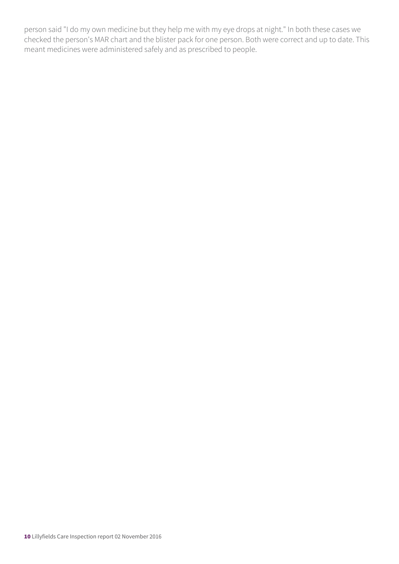person said "I do my own medicine but they help me with my eye drops at night." In both these cases we checked the person's MAR chart and the blister pack for one person. Both were correct and up to date. This meant medicines were administered safely and as prescribed to people.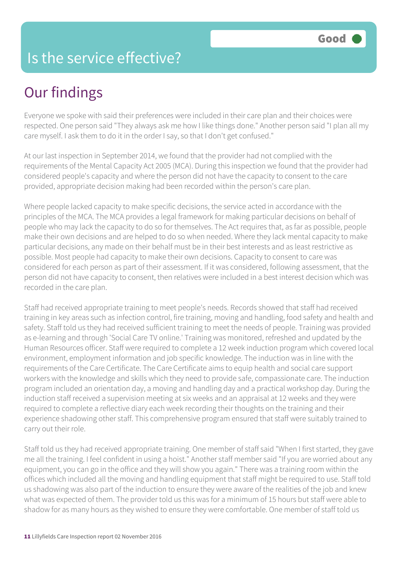#### Is the service effective?

# Our findings

Everyone we spoke with said their preferences were included in their care plan and their choices were respected. One person said "They always ask me how I like things done." Another person said "I plan all my care myself. I ask them to do it in the order I say, so that I don't get confused."

At our last inspection in September 2014, we found that the provider had not complied with the requirements of the Mental Capacity Act 2005 (MCA). During this inspection we found that the provider had considered people's capacity and where the person did not have the capacity to consent to the care provided, appropriate decision making had been recorded within the person's care plan.

Where people lacked capacity to make specific decisions, the service acted in accordance with the principles of the MCA. The MCA provides a legal framework for making particular decisions on behalf of people who may lack the capacity to do so for themselves. The Act requires that, as far as possible, people make their own decisions and are helped to do so when needed. Where they lack mental capacity to make particular decisions, any made on their behalf must be in their best interests and as least restrictive as possible. Most people had capacity to make their own decisions. Capacity to consent to care was considered for each person as part of their assessment. If it was considered, following assessment, that the person did not have capacity to consent, then relatives were included in a best interest decision which was recorded in the care plan.

Staff had received appropriate training to meet people's needs. Records showed that staff had received training in key areas such as infection control, fire training, moving and handling, food safety and health and safety. Staff told us they had received sufficient training to meet the needs of people. Training was provided as e-learning and through 'Social Care TV online.' Training was monitored, refreshed and updated by the Human Resources officer. Staff were required to complete a 12 week induction program which covered local environment, employment information and job specific knowledge. The induction was in line with the requirements of the Care Certificate. The Care Certificate aims to equip health and social care support workers with the knowledge and skills which they need to provide safe, compassionate care. The induction program included an orientation day, a moving and handling day and a practical workshop day. During the induction staff received a supervision meeting at six weeks and an appraisal at 12 weeks and they were required to complete a reflective diary each week recording their thoughts on the training and their experience shadowing other staff. This comprehensive program ensured that staff were suitably trained to carry out their role.

Staff told us they had received appropriate training. One member of staff said "When I first started, they gave me all the training. I feel confident in using a hoist." Another staff member said "If you are worried about any equipment, you can go in the office and they will show you again." There was a training room within the offices which included all the moving and handling equipment that staff might be required to use. Staff told us shadowing was also part of the induction to ensure they were aware of the realities of the job and knew what was expected of them. The provider told us this was for a minimum of 15 hours but staff were able to shadow for as many hours as they wished to ensure they were comfortable. One member of staff told us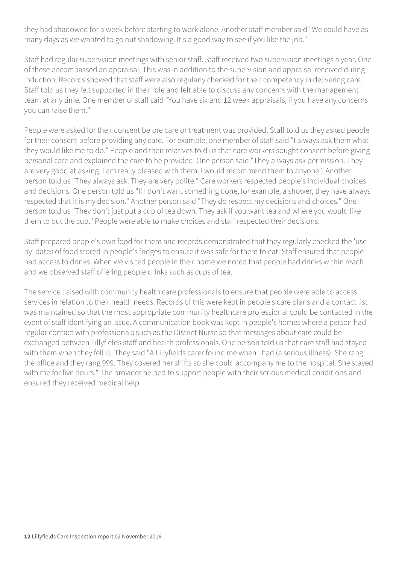they had shadowed for a week before starting to work alone. Another staff member said "We could have as many days as we wanted to go out shadowing. It's a good way to see if you like the job."

Staff had regular supervision meetings with senior staff. Staff received two supervision meetings a year. One of these encompassed an appraisal. This was in addition to the supervision and appraisal received during induction. Records showed that staff were also regularly checked for their competency in delivering care. Staff told us they felt supported in their role and felt able to discuss any concerns with the management team at any time. One member of staff said "You have six and 12 week appraisals, if you have any concerns you can raise them."

People were asked for their consent before care or treatment was provided. Staff told us they asked people for their consent before providing any care. For example, one member of staff said "I always ask them what they would like me to do." People and their relatives told us that care workers sought consent before giving personal care and explained the care to be provided. One person said "They always ask permission. They are very good at asking. I am really pleased with them. I would recommend them to anyone." Another person told us "They always ask. They are very polite." Care workers respected people's individual choices and decisions. One person told us "If I don't want something done, for example, a shower, they have always respected that it is my decision." Another person said "They do respect my decisions and choices." One person told us "They don't just put a cup of tea down. They ask if you want tea and where you would like them to put the cup." People were able to make choices and staff respected their decisions.

Staff prepared people's own food for them and records demonstrated that they regularly checked the 'use by' dates of food stored in people's fridges to ensure it was safe for them to eat. Staff ensured that people had access to drinks. When we visited people in their home we noted that people had drinks within reach and we observed staff offering people drinks such as cups of tea.

The service liaised with community health care professionals to ensure that people were able to access services in relation to their health needs. Records of this were kept in people's care plans and a contact list was maintained so that the most appropriate community healthcare professional could be contacted in the event of staff identifying an issue. A communication book was kept in people's homes where a person had regular contact with professionals such as the District Nurse so that messages about care could be exchanged between Lillyfields staff and health professionals. One person told us that care staff had stayed with them when they fell ill. They said "A Lillyfields carer found me when I had (a serious illness). She rang the office and they rang 999. They covered her shifts so she could accompany me to the hospital. She stayed with me for five hours." The provider helped to support people with their serious medical conditions and ensured they received medical help.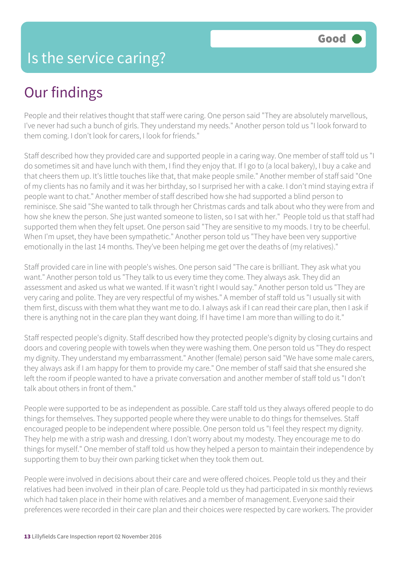# Our findings

People and their relatives thought that staff were caring. One person said "They are absolutely marvellous, I've never had such a bunch of girls. They understand my needs." Another person told us "I look forward to them coming. I don't look for carers, I look for friends."

Staff described how they provided care and supported people in a caring way. One member of staff told us "I do sometimes sit and have lunch with them, I find they enjoy that. If I go to (a local bakery), I buy a cake and that cheers them up. It's little touches like that, that make people smile." Another member of staff said "One of my clients has no family and it was her birthday, so I surprised her with a cake. I don't mind staying extra if people want to chat." Another member of staff described how she had supported a blind person to reminisce. She said "She wanted to talk through her Christmas cards and talk about who they were from and how she knew the person. She just wanted someone to listen, so I sat with her." People told us that staff had supported them when they felt upset. One person said "They are sensitive to my moods. I try to be cheerful. When I'm upset, they have been sympathetic." Another person told us "They have been very supportive emotionally in the last 14 months. They've been helping me get over the deaths of (my relatives)."

Staff provided care in line with people's wishes. One person said "The care is brilliant. They ask what you want." Another person told us "They talk to us every time they come. They always ask. They did an assessment and asked us what we wanted. If it wasn't right I would say." Another person told us "They are very caring and polite. They are very respectful of my wishes." A member of staff told us "I usually sit with them first, discuss with them what they want me to do. I always ask if I can read their care plan, then I ask if there is anything not in the care plan they want doing. If I have time I am more than willing to do it."

Staff respected people's dignity. Staff described how they protected people's dignity by closing curtains and doors and covering people with towels when they were washing them. One person told us "They do respect my dignity. They understand my embarrassment." Another (female) person said "We have some male carers, they always ask if I am happy for them to provide my care." One member of staff said that she ensured she left the room if people wanted to have a private conversation and another member of staff told us "I don't talk about others in front of them."

People were supported to be as independent as possible. Care staff told us they always offered people to do things for themselves. They supported people where they were unable to do things for themselves. Staff encouraged people to be independent where possible. One person told us "I feel they respect my dignity. They help me with a strip wash and dressing. I don't worry about my modesty. They encourage me to do things for myself." One member of staff told us how they helped a person to maintain their independence by supporting them to buy their own parking ticket when they took them out.

People were involved in decisions about their care and were offered choices. People told us they and their relatives had been involved in their plan of care. People told us they had participated in six monthly reviews which had taken place in their home with relatives and a member of management. Everyone said their preferences were recorded in their care plan and their choices were respected by care workers. The provider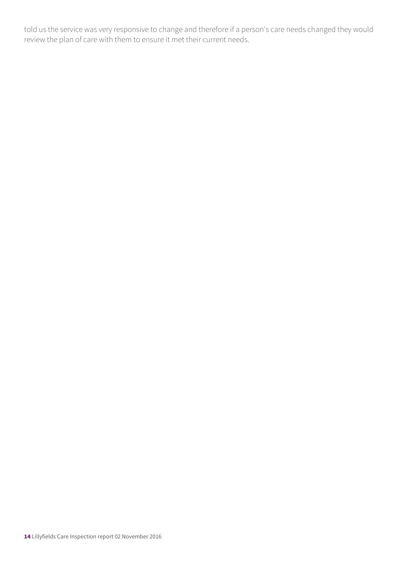told us the service was very responsive to change and therefore if a person's care needs changed they would review the plan of care with them to ensure it met their current needs.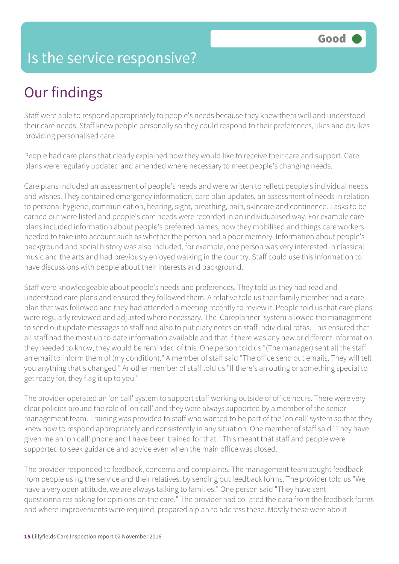#### Is the service responsive?

# Our findings

Staff were able to respond appropriately to people's needs because they knew them well and understood their care needs. Staff knew people personally so they could respond to their preferences, likes and dislikes providing personalised care.

People had care plans that clearly explained how they would like to receive their care and support. Care plans were regularly updated and amended where necessary to meet people's changing needs.

Care plans included an assessment of people's needs and were written to reflect people's individual needs and wishes. They contained emergency information, care plan updates, an assessment of needs in relation to personal hygiene, communication, hearing, sight, breathing, pain, skincare and continence. Tasks to be carried out were listed and people's care needs were recorded in an individualised way. For example care plans included information about people's preferred names, how they mobilised and things care workers needed to take into account such as whether the person had a poor memory. Information about people's background and social history was also included, for example, one person was very interested in classical music and the arts and had previously enjoyed walking in the country. Staff could use this information to have discussions with people about their interests and background.

Staff were knowledgeable about people's needs and preferences. They told us they had read and understood care plans and ensured they followed them. A relative told us their family member had a care plan that was followed and they had attended a meeting recently to review it. People told us that care plans were regularly reviewed and adjusted where necessary. The 'Careplanner' system allowed the management to send out update messages to staff and also to put diary notes on staff individual rotas. This ensured that all staff had the most up to date information available and that if there was any new or different information they needed to know, they would be reminded of this. One person told us "(The manager) sent all the staff an email to inform them of (my condition)." A member of staff said "The office send out emails. They will tell you anything that's changed." Another member of staff told us "If there's an outing or something special to get ready for, they flag it up to you."

The provider operated an 'on call' system to support staff working outside of office hours. There were very clear policies around the role of 'on call' and they were always supported by a member of the senior management team. Training was provided to staff who wanted to be part of the 'on call' system so that they knew how to respond appropriately and consistently in any situation. One member of staff said "They have given me an 'on call' phone and I have been trained for that." This meant that staff and people were supported to seek guidance and advice even when the main office was closed.

The provider responded to feedback, concerns and complaints. The management team sought feedback from people using the service and their relatives, by sending out feedback forms. The provider told us "We have a very open attitude, we are always talking to families." One person said "They have sent questionnaires asking for opinions on the care." The provider had collated the data from the feedback forms and where improvements were required, prepared a plan to address these. Mostly these were about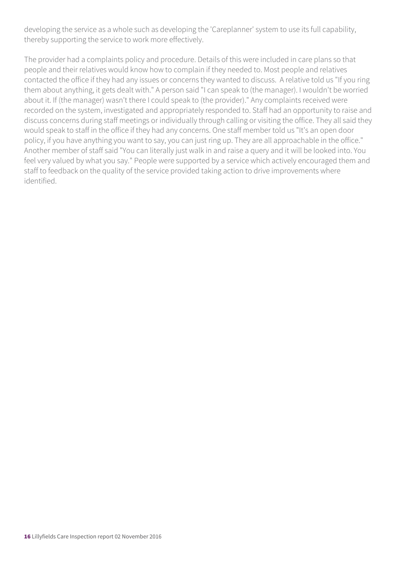developing the service as a whole such as developing the 'Careplanner' system to use its full capability, thereby supporting the service to work more effectively.

The provider had a complaints policy and procedure. Details of this were included in care plans so that people and their relatives would know how to complain if they needed to. Most people and relatives contacted the office if they had any issues or concerns they wanted to discuss. A relative told us "If you ring them about anything, it gets dealt with." A person said "I can speak to (the manager). I wouldn't be worried about it. If (the manager) wasn't there I could speak to (the provider)." Any complaints received were recorded on the system, investigated and appropriately responded to. Staff had an opportunity to raise and discuss concerns during staff meetings or individually through calling or visiting the office. They all said they would speak to staff in the office if they had any concerns. One staff member told us "It's an open door policy, if you have anything you want to say, you can just ring up. They are all approachable in the office." Another member of staff said "You can literally just walk in and raise a query and it will be looked into. You feel very valued by what you say." People were supported by a service which actively encouraged them and staff to feedback on the quality of the service provided taking action to drive improvements where identified.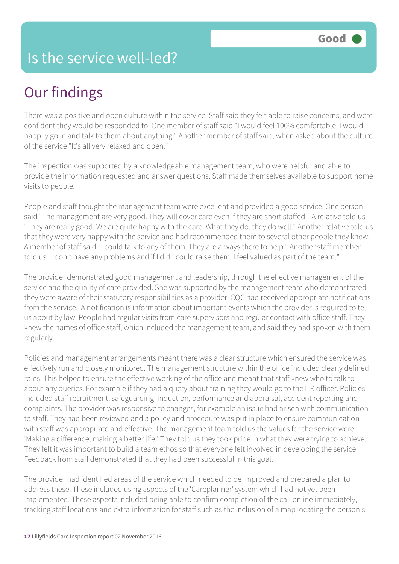#### Is the service well-led?

## Our findings

There was a positive and open culture within the service. Staff said they felt able to raise concerns, and were confident they would be responded to. One member of staff said "I would feel 100% comfortable. I would happily go in and talk to them about anything." Another member of staff said, when asked about the culture of the service "It's all very relaxed and open."

The inspection was supported by a knowledgeable management team, who were helpful and able to provide the information requested and answer questions. Staff made themselves available to support home visits to people.

People and staff thought the management team were excellent and provided a good service. One person said "The management are very good. They will cover care even if they are short staffed." A relative told us "They are really good. We are quite happy with the care. What they do, they do well." Another relative told us that they were very happy with the service and had recommended them to several other people they knew. A member of staff said "I could talk to any of them. They are always there to help." Another staff member told us "I don't have any problems and if I did I could raise them. I feel valued as part of the team."

The provider demonstrated good management and leadership, through the effective management of the service and the quality of care provided. She was supported by the management team who demonstrated they were aware of their statutory responsibilities as a provider. CQC had received appropriate notifications from the service. A notification is information about important events which the provider is required to tell us about by law. People had regular visits from care supervisors and regular contact with office staff. They knew the names of office staff, which included the management team, and said they had spoken with them regularly.

Policies and management arrangements meant there was a clear structure which ensured the service was effectively run and closely monitored. The management structure within the office included clearly defined roles. This helped to ensure the effective working of the office and meant that staff knew who to talk to about any queries. For example if they had a query about training they would go to the HR officer. Policies included staff recruitment, safeguarding, induction, performance and appraisal, accident reporting and complaints. The provider was responsive to changes, for example an issue had arisen with communication to staff. They had been reviewed and a policy and procedure was put in place to ensure communication with staff was appropriate and effective. The management team told us the values for the service were 'Making a difference, making a better life.' They told us they took pride in what they were trying to achieve. They felt it was important to build a team ethos so that everyone felt involved in developing the service. Feedback from staff demonstrated that they had been successful in this goal.

The provider had identified areas of the service which needed to be improved and prepared a plan to address these. These included using aspects of the 'Careplanner' system which had not yet been implemented. These aspects included being able to confirm completion of the call online immediately, tracking staff locations and extra information for staff such as the inclusion of a map locating the person's